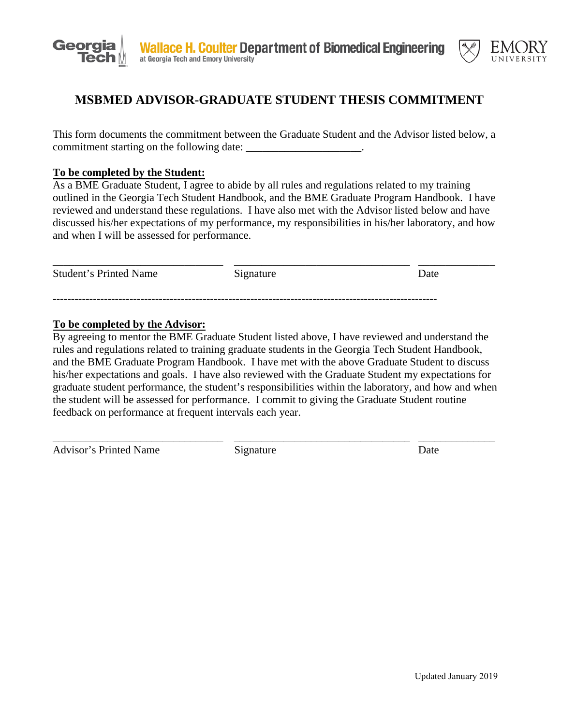



## **MSBMED ADVISOR-GRADUATE STUDENT THESIS COMMITMENT**

This form documents the commitment between the Graduate Student and the Advisor listed below, a commitment starting on the following date:

## **To be completed by the Student:**

As a BME Graduate Student, I agree to abide by all rules and regulations related to my training outlined in the Georgia Tech Student Handbook, and the BME Graduate Program Handbook. I have reviewed and understand these regulations. I have also met with the Advisor listed below and have discussed his/her expectations of my performance, my responsibilities in his/her laboratory, and how and when I will be assessed for performance.

| <b>Student's Printed Name</b> | Signature | Date |
|-------------------------------|-----------|------|
|                               |           |      |

## **To be completed by the Advisor:**

By agreeing to mentor the BME Graduate Student listed above, I have reviewed and understand the rules and regulations related to training graduate students in the Georgia Tech Student Handbook, and the BME Graduate Program Handbook. I have met with the above Graduate Student to discuss his/her expectations and goals. I have also reviewed with the Graduate Student my expectations for graduate student performance, the student's responsibilities within the laboratory, and how and when the student will be assessed for performance. I commit to giving the Graduate Student routine feedback on performance at frequent intervals each year.

\_\_\_\_\_\_\_\_\_\_\_\_\_\_\_\_\_\_\_\_\_\_\_\_\_\_\_\_\_\_\_ \_\_\_\_\_\_\_\_\_\_\_\_\_\_\_\_\_\_\_\_\_\_\_\_\_\_\_\_\_\_\_\_ \_\_\_\_\_\_\_\_\_\_\_\_\_\_

Advisor's Printed Name Signature Date